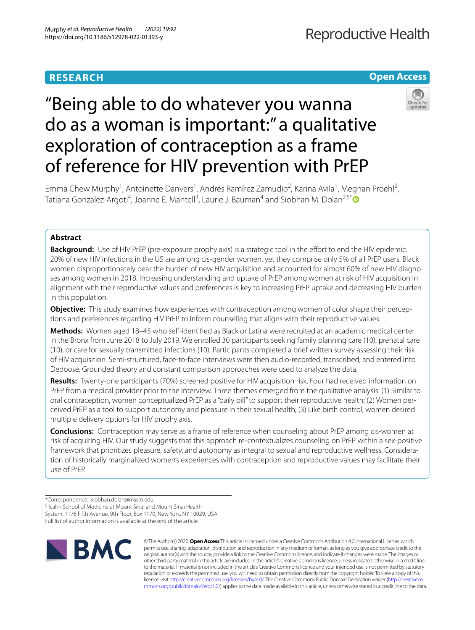# **RESEARCH**

## **Open Access**



# "Being able to do whatever you wanna do as a woman is important:" a qualitative exploration of contraception as a frame of reference for HIV prevention with PrEP

Emma Chew Murphy<sup>1</sup>, Antoinette Danvers<sup>1</sup>, Andrés Ramírez Zamudio<sup>2</sup>, Karina Avila<sup>1</sup>, Meghan Proehl<sup>2</sup>, Tatiana Gonzalez-Argoti<sup>4</sup>, Joanne E. Mantell<sup>3</sup>, Laurie J. Bauman<sup>4</sup> and Siobhan M. Dolan<sup>2,5[\\*](http://orcid.org/0000-0001-8890-8045)</sup>

## **Abstract**

**Background:** Use of HIV PrEP (pre-exposure prophylaxis) is a strategic tool in the effort to end the HIV epidemic. 20% of new HIV infections in the US are among cis-gender women, yet they comprise only 5% of all PrEP users. Black women disproportionately bear the burden of new HIV acquisition and accounted for almost 60% of new HIV diagnoses among women in 2018. Increasing understanding and uptake of PrEP among women at risk of HIV acquisition in alignment with their reproductive values and preferences is key to increasing PrEP uptake and decreasing HIV burden in this population.

**Objective:** This study examines how experiences with contraception among women of color shape their perceptions and preferences regarding HIV PrEP to inform counseling that aligns with their reproductive values.

**Methods:** Women aged 18–45 who self-identifed as Black or Latina were recruited at an academic medical center in the Bronx from June 2018 to July 2019. We enrolled 30 participants seeking family planning care (10), prenatal care (10), or care for sexually transmitted infections (10). Participants completed a brief written survey assessing their risk of HIV acquisition. Semi-structured, face-to-face interviews were then audio-recorded, transcribed, and entered into Dedoose. Grounded theory and constant comparison approaches were used to analyze the data.

**Results:** Twenty-one participants (70%) screened positive for HIV acquisition risk. Four had received information on PrEP from a medical provider prior to the interview. Three themes emerged from the qualitative analysis: (1) Similar to oral contraception, women conceptualized PrEP as a "daily pill" to support their reproductive health; (2) Women per‑ ceived PrEP as a tool to support autonomy and pleasure in their sexual health; (3) Like birth control, women desired multiple delivery options for HIV prophylaxis.

**Conclusions:** Contraception may serve as a frame of reference when counseling about PrEP among cis-women at risk of acquiring HIV. Our study suggests that this approach re-contextualizes counseling on PrEP within a sex-positive framework that prioritizes pleasure, safety, and autonomy as integral to sexual and reproductive wellness. Consideration of historically marginalized women's experiences with contraception and reproductive values may facilitate their use of PrEP.

<sup>5</sup> Icahn School of Medicine at Mount Sinai and Mount Sinai Health System, 1176 Fifth Avenue, 9th Floor, Box 1170, New York, NY 10029, USA

Full list of author information is available at the end of the article



© The Author(s) 2022. **Open Access** This article is licensed under a Creative Commons Attribution 4.0 International License, which permits use, sharing, adaptation, distribution and reproduction in any medium or format, as long as you give appropriate credit to the original author(s) and the source, provide a link to the Creative Commons licence, and indicate if changes were made. The images or other third party material in this article are included in the article's Creative Commons licence, unless indicated otherwise in a credit line to the material. If material is not included in the article's Creative Commons licence and your intended use is not permitted by statutory regulation or exceeds the permitted use, you will need to obtain permission directly from the copyright holder. To view a copy of this licence, visit [http://creativecommons.org/licenses/by/4.0/.](http://creativecommons.org/licenses/by/4.0/) The Creative Commons Public Domain Dedication waiver ([http://creativeco](http://creativecommons.org/publicdomain/zero/1.0/) [mmons.org/publicdomain/zero/1.0/](http://creativecommons.org/publicdomain/zero/1.0/)) applies to the data made available in this article, unless otherwise stated in a credit line to the data.

<sup>\*</sup>Correspondence: siobhan.dolan@mssm.edu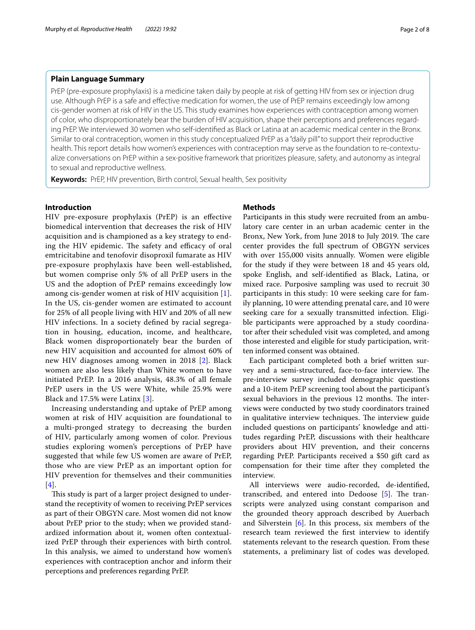## **Plain Language Summary**

PrEP (pre-exposure prophylaxis) is a medicine taken daily by people at risk of getting HIV from sex or injection drug use. Although PrEP is a safe and efective medication for women, the use of PrEP remains exceedingly low among cis-gender women at risk of HIV in the US. This study examines how experiences with contraception among women of color, who disproportionately bear the burden of HIV acquisition, shape their perceptions and preferences regarding PrEP. We interviewed 30 women who self-identifed as Black or Latina at an academic medical center in the Bronx. Similar to oral contraception, women in this study conceptualized PrEP as a "daily pill" to support their reproductive health. This report details how women's experiences with contraception may serve as the foundation to re-contextualize conversations on PrEP within a sex-positive framework that prioritizes pleasure, safety, and autonomy as integral to sexual and reproductive wellness.

**Keywords:** PrEP, HIV prevention, Birth control, Sexual health, Sex positivity

## **Introduction**

HIV pre-exposure prophylaxis (PrEP) is an efective biomedical intervention that decreases the risk of HIV acquisition and is championed as a key strategy to ending the HIV epidemic. The safety and efficacy of oral emtricitabine and tenofovir disoproxil fumarate as HIV pre-exposure prophylaxis have been well-established, but women comprise only 5% of all PrEP users in the US and the adoption of PrEP remains exceedingly low among cis-gender women at risk of HIV acquisition [[1\]](#page-7-0). In the US, cis-gender women are estimated to account for 25% of all people living with HIV and 20% of all new HIV infections. In a society defned by racial segregation in housing, education, income, and healthcare, Black women disproportionately bear the burden of new HIV acquisition and accounted for almost 60% of new HIV diagnoses among women in 2018 [[2](#page-7-1)]. Black women are also less likely than White women to have initiated PrEP. In a 2016 analysis, 48.3% of all female PrEP users in the US were White, while 25.9% were Black and 17.5% were Latinx [\[3\]](#page-7-2).

Increasing understanding and uptake of PrEP among women at risk of HIV acquisition are foundational to a multi-pronged strategy to decreasing the burden of HIV, particularly among women of color. Previous studies exploring women's perceptions of PrEP have suggested that while few US women are aware of PrEP, those who are view PrEP as an important option for HIV prevention for themselves and their communities [[4](#page-7-3)].

This study is part of a larger project designed to understand the receptivity of women to receiving PrEP services as part of their OBGYN care. Most women did not know about PrEP prior to the study; when we provided standardized information about it, women often contextualized PrEP through their experiences with birth control. In this analysis, we aimed to understand how women's experiences with contraception anchor and inform their perceptions and preferences regarding PrEP.

## **Methods**

Participants in this study were recruited from an ambulatory care center in an urban academic center in the Bronx, New York, from June 2018 to July 2019. The care center provides the full spectrum of OBGYN services with over 155,000 visits annually. Women were eligible for the study if they were between 18 and 45 years old, spoke English, and self-identifed as Black, Latina, or mixed race. Purposive sampling was used to recruit 30 participants in this study: 10 were seeking care for family planning, 10 were attending prenatal care, and 10 were seeking care for a sexually transmitted infection. Eligible participants were approached by a study coordinator after their scheduled visit was completed, and among those interested and eligible for study participation, written informed consent was obtained.

Each participant completed both a brief written survey and a semi-structured, face-to-face interview. The pre-interview survey included demographic questions and a 10-item PrEP screening tool about the participant's sexual behaviors in the previous 12 months. The interviews were conducted by two study coordinators trained in qualitative interview techniques. The interview guide included questions on participants' knowledge and attitudes regarding PrEP, discussions with their healthcare providers about HIV prevention, and their concerns regarding PrEP. Participants received a \$50 gift card as compensation for their time after they completed the interview.

All interviews were audio-recorded, de-identifed, transcribed, and entered into Dedoose  $[5]$  $[5]$ . The transcripts were analyzed using constant comparison and the grounded theory approach described by Auerbach and Silverstein [\[6](#page-7-5)]. In this process, six members of the research team reviewed the frst interview to identify statements relevant to the research question. From these statements, a preliminary list of codes was developed.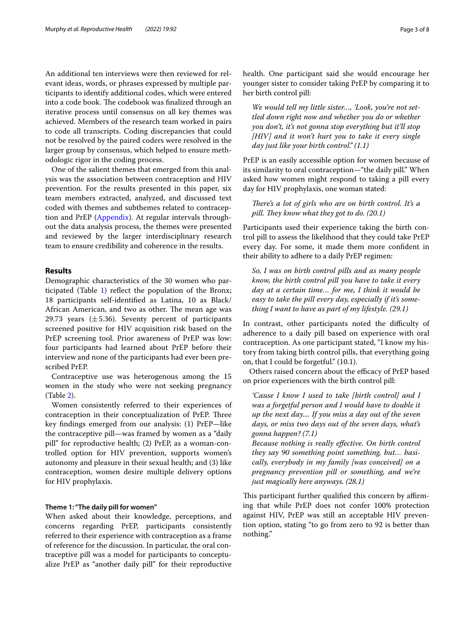An additional ten interviews were then reviewed for relevant ideas, words, or phrases expressed by multiple participants to identify additional codes, which were entered into a code book. The codebook was finalized through an iterative process until consensus on all key themes was achieved. Members of the research team worked in pairs to code all transcripts. Coding discrepancies that could not be resolved by the paired coders were resolved in the larger group by consensus, which helped to ensure methodologic rigor in the coding process.

One of the salient themes that emerged from this analysis was the association between contraception and HIV prevention. For the results presented in this paper, six team members extracted, analyzed, and discussed text coded with themes and subthemes related to contraception and PrEP ([Appendix\)](#page-6-0). At regular intervals throughout the data analysis process, the themes were presented and reviewed by the larger interdisciplinary research team to ensure credibility and coherence in the results.

## **Results**

Demographic characteristics of the 30 women who participated (Table [1](#page-3-0)) refect the population of the Bronx; 18 participants self-identifed as Latina, 10 as Black/ African American, and two as other. The mean age was 29.73 years  $(\pm 5.36)$ . Seventy percent of participants screened positive for HIV acquisition risk based on the PrEP screening tool. Prior awareness of PrEP was low: four participants had learned about PrEP before their interview and none of the participants had ever been prescribed PrEP.

Contraceptive use was heterogenous among the 15 women in the study who were not seeking pregnancy (Table [2](#page-4-0)).

Women consistently referred to their experiences of contraception in their conceptualization of PrEP. Three key fndings emerged from our analysis: (1) PrEP—like the contraceptive pill—was framed by women as a "daily pill" for reproductive health; (2) PrEP, as a woman-controlled option for HIV prevention, supports women's autonomy and pleasure in their sexual health; and (3) like contraception, women desire multiple delivery options for HIV prophylaxis.

#### **Theme 1: "The daily pill for women"**

When asked about their knowledge, perceptions, and concerns regarding PrEP, participants consistently referred to their experience with contraception as a frame of reference for the discussion. In particular, the oral contraceptive pill was a model for participants to conceptualize PrEP as "another daily pill" for their reproductive health. One participant said she would encourage her younger sister to consider taking PrEP by comparing it to her birth control pill:

*We would tell my little sister…, 'Look, you're not settled down right now and whether you do or whether you don't, it's not gonna stop everything but it'll stop [HIV] and it won't hurt you to take it every single day just like your birth control." (1.1)*

PrEP is an easily accessible option for women because of its similarity to oral contraception—"the daily pill." When asked how women might respond to taking a pill every day for HIV prophylaxis, one woman stated:

There's a lot of girls who are on birth control. It's a *pill. They know what they got to do.* (20.1)

Participants used their experience taking the birth control pill to assess the likelihood that they could take PrEP every day. For some, it made them more confdent in their ability to adhere to a daily PrEP regimen:

*So, I was on birth control pills and as many people know, the birth control pill you have to take it every day at a certain time… for me, I think it would be easy to take the pill every day, especially if it's something I want to have as part of my lifestyle. (29.1)*

In contrast, other participants noted the difficulty of adherence to a daily pill based on experience with oral contraception. As one participant stated, "I know my history from taking birth control pills, that everything going on, that I could be forgetful." (10.1).

Others raised concern about the efficacy of PrEP based on prior experiences with the birth control pill:

*'Cause I know I used to take [birth control] and I was a forgetful person and I would have to double it up the next day.... If you miss a day out of the seven days, or miss two days out of the seven days, what's gonna happen? (7.1)*

*Because nothing is really efective. On birth control they say 90 something point something, but… basically, everybody in my family [was conceived] on a pregnancy prevention pill or something, and we're just magically here anyways. (28.1)*

This participant further qualified this concern by affirming that while PrEP does not confer 100% protection against HIV, PrEP was still an acceptable HIV prevention option, stating "to go from zero to 92 is better than nothing."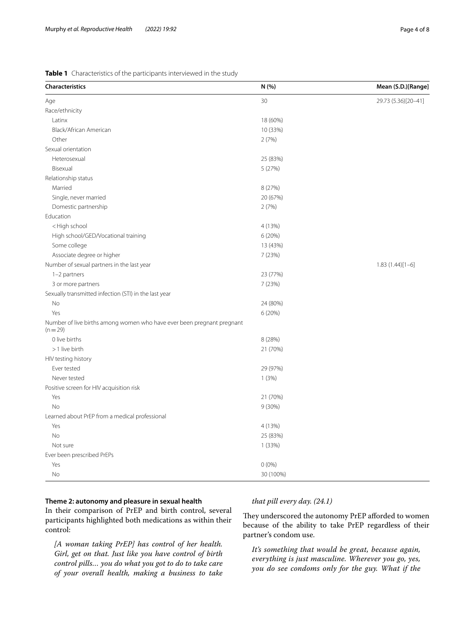<span id="page-3-0"></span>

| <b>Characteristics</b>                                                             | N (%)     | Mean (S.D.)[Range]  |
|------------------------------------------------------------------------------------|-----------|---------------------|
| Age                                                                                | 30        | 29.73 (5.36)[20-41] |
| Race/ethnicity                                                                     |           |                     |
| Latinx                                                                             | 18 (60%)  |                     |
| Black/African American                                                             | 10 (33%)  |                     |
| Other                                                                              | 2(7%)     |                     |
| Sexual orientation                                                                 |           |                     |
| Heterosexual                                                                       | 25 (83%)  |                     |
| Bisexual                                                                           | 5(27%)    |                     |
| Relationship status                                                                |           |                     |
| Married                                                                            | 8 (27%)   |                     |
| Single, never married                                                              | 20 (67%)  |                     |
| Domestic partnership                                                               | 2(7%)     |                     |
| Education                                                                          |           |                     |
| <high school<="" td=""><td>4 (13%)</td><td></td></high>                            | 4 (13%)   |                     |
| High school/GED/Vocational training                                                | 6(20%)    |                     |
| Some college                                                                       | 13 (43%)  |                     |
| Associate degree or higher                                                         | 7(23%)    |                     |
| Number of sexual partners in the last year                                         |           | $1.83(1.44)[1-6]$   |
| 1-2 partners                                                                       | 23 (77%)  |                     |
| 3 or more partners                                                                 | 7(23%)    |                     |
| Sexually transmitted infection (STI) in the last year                              |           |                     |
| No                                                                                 | 24 (80%)  |                     |
| Yes                                                                                | 6 (20%)   |                     |
| Number of live births among women who have ever been pregnant pregnant<br>$(n=29)$ |           |                     |
| 0 live births                                                                      | 8 (28%)   |                     |
| >1 live birth                                                                      | 21 (70%)  |                     |
| HIV testing history                                                                |           |                     |
| Ever tested                                                                        | 29 (97%)  |                     |
| Never tested                                                                       | 1(3%)     |                     |
| Positive screen for HIV acquisition risk                                           |           |                     |
| Yes                                                                                | 21 (70%)  |                     |
| <b>No</b>                                                                          | 9 (30%)   |                     |
| Learned about PrEP from a medical professional                                     |           |                     |
| Yes                                                                                | 4 (13%)   |                     |
| No                                                                                 | 25 (83%)  |                     |
| Not sure                                                                           | 1 (33%)   |                     |
| Ever been prescribed PrEPs                                                         |           |                     |
| Yes                                                                                | $0(0\%)$  |                     |
| No                                                                                 | 30 (100%) |                     |

## **Theme 2: autonomy and pleasure in sexual health**

In their comparison of PrEP and birth control, several participants highlighted both medications as within their control:

*[A woman taking PrEP] has control of her health. Girl, get on that. Just like you have control of birth control pills… you do what you got to do to take care of your overall health, making a business to take* 

## *that pill every day. (24.1)*

They underscored the autonomy PrEP afforded to women because of the ability to take PrEP regardless of their partner's condom use.

*It's something that would be great, because again, everything is just masculine. Wherever you go, yes, you do see condoms only for the guy. What if the*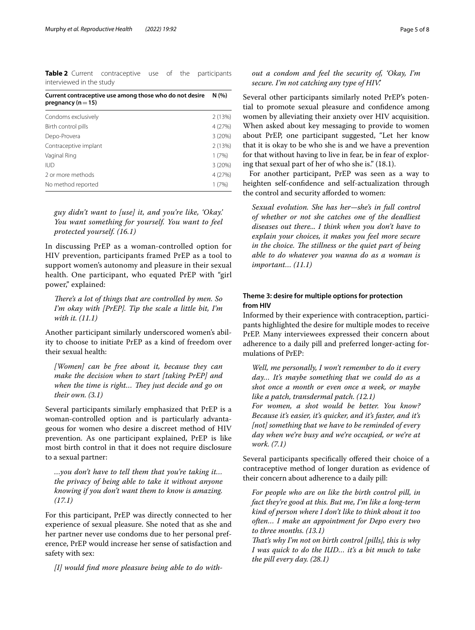<span id="page-4-0"></span>**Table 2** Current contraceptive use of the participants interviewed in the study

| Current contraceptive use among those who do not desire<br>N (%)<br>pregnancy ( $n = 15$ ) |         |
|--------------------------------------------------------------------------------------------|---------|
| Condoms exclusively                                                                        | 2(13%)  |
| Birth control pills                                                                        | 4 (27%) |
| Depo-Provera                                                                               | 3 (20%) |
| Contraceptive implant                                                                      | 2(13%)  |

Vaginal Ring 1 (7%) IUD 3 (20%) 2 or more methods 4 (27%) No method reported 1 (7%)

*guy didn't want to [use] it, and you're like, 'Okay.' You want something for yourself. You want to feel protected yourself. (16.1)*

In discussing PrEP as a woman-controlled option for HIV prevention, participants framed PrEP as a tool to support women's autonomy and pleasure in their sexual health. One participant, who equated PrEP with "girl power," explained:

*There's a lot of things that are controlled by men. So I'm okay with [PrEP]. Tip the scale a little bit, I'm with it. (11.1)*

Another participant similarly underscored women's ability to choose to initiate PrEP as a kind of freedom over their sexual health:

*[Women] can be free about it, because they can make the decision when to start [taking PrEP] and*  when the time is right... They just decide and go on *their own. (3.1)*

Several participants similarly emphasized that PrEP is a woman-controlled option and is particularly advantageous for women who desire a discreet method of HIV prevention. As one participant explained, PrEP is like most birth control in that it does not require disclosure to a sexual partner:

*…you don't have to tell them that you're taking it… the privacy of being able to take it without anyone knowing if you don't want them to know is amazing. (17.1)*

For this participant, PrEP was directly connected to her experience of sexual pleasure. She noted that as she and her partner never use condoms due to her personal preference, PrEP would increase her sense of satisfaction and safety with sex:

*[I] would fnd more pleasure being able to do with-*

## *out a condom and feel the security of, 'Okay, I'm secure. I'm not catching any type of HIV.'*

Several other participants similarly noted PrEP's potential to promote sexual pleasure and confdence among women by alleviating their anxiety over HIV acquisition. When asked about key messaging to provide to women about PrEP, one participant suggested, "Let her know that it is okay to be who she is and we have a prevention for that without having to live in fear, be in fear of exploring that sexual part of her of who she is." (18.1).

For another participant, PrEP was seen as a way to heighten self-confdence and self-actualization through the control and security afforded to women:

*Sexual evolution. She has her—she's in full control of whether or not she catches one of the deadliest diseases out there... I think when you don't have to explain your choices, it makes you feel more secure in the choice. The stillness or the quiet part of being able to do whatever you wanna do as a woman is important… (11.1)*

## **Theme 3: desire for multiple options for protection from HIV**

Informed by their experience with contraception, participants highlighted the desire for multiple modes to receive PrEP. Many interviewees expressed their concern about adherence to a daily pill and preferred longer-acting formulations of PrEP:

*Well, me personally, I won't remember to do it every day… It's maybe something that we could do as a shot once a month or even once a week, or maybe like a patch, transdermal patch. (12.1)*

*For women, a shot would be better. You know? Because it's easier, it's quicker, and it's faster, and it's [not] something that we have to be reminded of every day when we're busy and we're occupied, or we're at work. (7.1)*

Several participants specifically offered their choice of a contraceptive method of longer duration as evidence of their concern about adherence to a daily pill:

*For people who are on like the birth control pill, in fact they're good at this. But me, I'm like a long-term kind of person where I don't like to think about it too often… I make an appointment for Depo every two to three months. (13.1)*

*Tat's why I'm not on birth control [pills], this is why I was quick to do the IUD… it's a bit much to take the pill every day. (28.1)*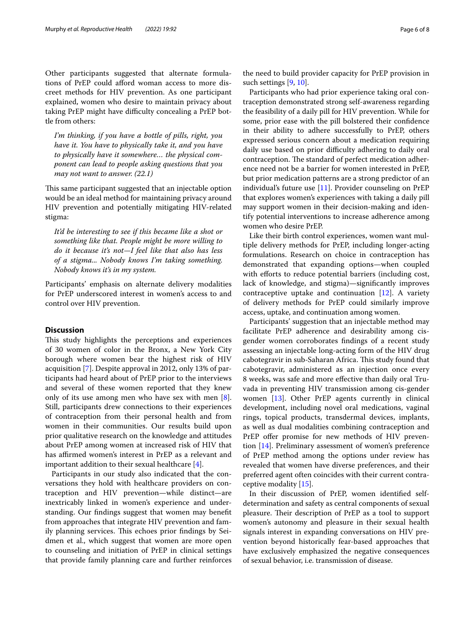Other participants suggested that alternate formulations of PrEP could afford woman access to more discreet methods for HIV prevention. As one participant explained, women who desire to maintain privacy about taking PrEP might have difficulty concealing a PrEP bottle from others:

*I'm thinking, if you have a bottle of pills, right, you have it. You have to physically take it, and you have to physically have it somewhere… the physical component can lead to people asking questions that you may not want to answer. (22.1)*

This same participant suggested that an injectable option would be an ideal method for maintaining privacy around HIV prevention and potentially mitigating HIV-related stigma:

*It'd be interesting to see if this became like a shot or something like that. People might be more willing to do it because it's not—I feel like that also has less of a stigma... Nobody knows I'm taking something. Nobody knows it's in my system.*

Participants' emphasis on alternate delivery modalities for PrEP underscored interest in women's access to and control over HIV prevention.

## **Discussion**

This study highlights the perceptions and experiences of 30 women of color in the Bronx, a New York City borough where women bear the highest risk of HIV acquisition [[7\]](#page-7-6). Despite approval in 2012, only 13% of participants had heard about of PrEP prior to the interviews and several of these women reported that they knew only of its use among men who have sex with men [\[8](#page-7-7)]. Still, participants drew connections to their experiences of contraception from their personal health and from women in their communities. Our results build upon prior qualitative research on the knowledge and attitudes about PrEP among women at increased risk of HIV that has affirmed women's interest in PrEP as a relevant and important addition to their sexual healthcare [\[4](#page-7-3)].

Participants in our study also indicated that the conversations they hold with healthcare providers on contraception and HIV prevention—while distinct—are inextricably linked in women's experience and understanding. Our fndings suggest that women may beneft from approaches that integrate HIV prevention and family planning services. This echoes prior findings by Seidmen et al., which suggest that women are more open to counseling and initiation of PrEP in clinical settings that provide family planning care and further reinforces

the need to build provider capacity for PrEP provision in such settings [[9,](#page-7-8) [10](#page-7-9)].

Participants who had prior experience taking oral contraception demonstrated strong self-awareness regarding the feasibility of a daily pill for HIV prevention. While for some, prior ease with the pill bolstered their confdence in their ability to adhere successfully to PrEP, others expressed serious concern about a medication requiring daily use based on prior difficulty adhering to daily oral contraception. The standard of perfect medication adherence need not be a barrier for women interested in PrEP, but prior medication patterns are a strong predictor of an individual's future use [\[11](#page-7-10)]. Provider counseling on PrEP that explores women's experiences with taking a daily pill may support women in their decision-making and identify potential interventions to increase adherence among women who desire PrEP.

Like their birth control experiences, women want multiple delivery methods for PrEP, including longer-acting formulations. Research on choice in contraception has demonstrated that expanding options—when coupled with efforts to reduce potential barriers (including cost, lack of knowledge, and stigma)—signifcantly improves contraceptive uptake and continuation [[12](#page-7-11)]. A variety of delivery methods for PrEP could similarly improve access, uptake, and continuation among women.

Participants' suggestion that an injectable method may facilitate PrEP adherence and desirability among cisgender women corroborates fndings of a recent study assessing an injectable long-acting form of the HIV drug cabotegravir in sub-Saharan Africa. This study found that cabotegravir, administered as an injection once every 8 weeks, was safe and more efective than daily oral Truvada in preventing HIV transmission among cis-gender women [[13\]](#page-7-12). Other PrEP agents currently in clinical development, including novel oral medications, vaginal rings, topical products, transdermal devices, implants, as well as dual modalities combining contraception and PrEP offer promise for new methods of HIV prevention [[14](#page-7-13)]. Preliminary assessment of women's preference of PrEP method among the options under review has revealed that women have diverse preferences, and their preferred agent often coincides with their current contraceptive modality [[15\]](#page-7-14).

In their discussion of PrEP, women identifed selfdetermination and safety as central components of sexual pleasure. Their description of PrEP as a tool to support women's autonomy and pleasure in their sexual health signals interest in expanding conversations on HIV prevention beyond historically fear-based approaches that have exclusively emphasized the negative consequences of sexual behavior, i.e. transmission of disease.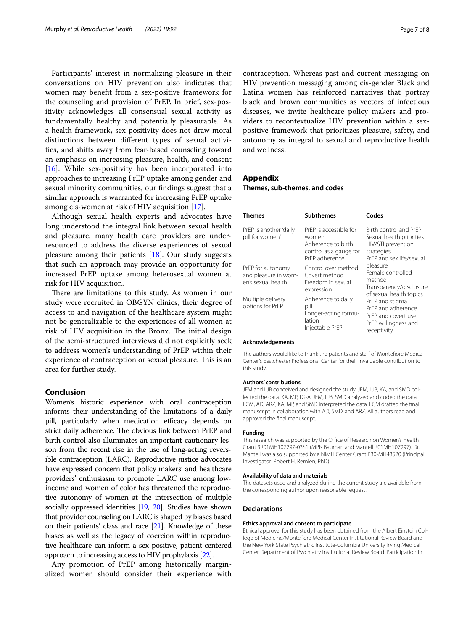Participants' interest in normalizing pleasure in their conversations on HIV prevention also indicates that women may beneft from a sex-positive framework for the counseling and provision of PrEP. In brief, sex-positivity acknowledges all consensual sexual activity as fundamentally healthy and potentially pleasurable. As a health framework, sex-positivity does not draw moral distinctions between diferent types of sexual activities, and shifts away from fear-based counseling toward an emphasis on increasing pleasure, health, and consent [[16\]](#page-7-15). While sex-positivity has been incorporated into approaches to increasing PrEP uptake among gender and sexual minority communities, our fndings suggest that a similar approach is warranted for increasing PrEP uptake among cis-women at risk of HIV acquisition [[17\]](#page-7-16).

Although sexual health experts and advocates have long understood the integral link between sexual health and pleasure, many health care providers are underresourced to address the diverse experiences of sexual pleasure among their patients [\[18](#page-7-17)]. Our study suggests that such an approach may provide an opportunity for increased PrEP uptake among heterosexual women at risk for HIV acquisition.

There are limitations to this study. As women in our study were recruited in OBGYN clinics, their degree of access to and navigation of the healthcare system might not be generalizable to the experiences of all women at risk of HIV acquisition in the Bronx. The initial design of the semi-structured interviews did not explicitly seek to address women's understanding of PrEP within their experience of contraception or sexual pleasure. This is an area for further study.

#### **Conclusion**

Women's historic experience with oral contraception informs their understanding of the limitations of a daily pill, particularly when medication efficacy depends on strict daily adherence. The obvious link between PrEP and birth control also illuminates an important cautionary lesson from the recent rise in the use of long-acting reversible contraception (LARC). Reproductive justice advocates have expressed concern that policy makers' and healthcare providers' enthusiasm to promote LARC use among lowincome and women of color has threatened the reproductive autonomy of women at the intersection of multiple socially oppressed identities [\[19,](#page-7-18) [20](#page-7-19)]. Studies have shown that provider counseling on LARC is shaped by biases based on their patients' class and race  $[21]$  $[21]$  $[21]$ . Knowledge of these biases as well as the legacy of coercion within reproductive healthcare can inform a sex-positive, patient-centered approach to increasing access to HIV prophylaxis [[22](#page-7-21)].

Any promotion of PrEP among historically marginalized women should consider their experience with contraception. Whereas past and current messaging on HIV prevention messaging among cis-gender Black and Latina women has reinforced narratives that portray black and brown communities as vectors of infectious diseases, we invite healthcare policy makers and providers to recontextualize HIV prevention within a sexpositive framework that prioritizes pleasure, safety, and autonomy as integral to sexual and reproductive health and wellness.

## <span id="page-6-0"></span>**Appendix**

**Themes, sub‑themes, and codes**

| Themes                                                          | <b>Subthemes</b>                                                                                  | Codes                                                                                                                                                                                                                                                                                                                      |
|-----------------------------------------------------------------|---------------------------------------------------------------------------------------------------|----------------------------------------------------------------------------------------------------------------------------------------------------------------------------------------------------------------------------------------------------------------------------------------------------------------------------|
| PrEP is another "daily<br>pill for women"                       | PrEP is accessible for<br>women<br>Adherence to birth<br>control as a gauge for<br>PrFP adherence | Birth control and PrEP<br>Sexual health priorities<br>HIV/STI prevention<br>strategies<br>PrFP and sex life/sexual<br>pleasure<br>Female controlled<br>method<br>Transparency/disclosure<br>of sexual health topics<br>PrEP and stigma<br>PrFP and adherence<br>PrFP and covert use<br>PrEP willingness and<br>receptivity |
| PrEP for autonomy<br>and pleasure in wom-<br>en's sexual health | Control over method<br>Covert method<br>Freedom in sexual<br>expression                           |                                                                                                                                                                                                                                                                                                                            |
| Multiple delivery<br>options for PrEP                           | Adherence to daily<br>pill<br>Longer-acting formu-<br>lation<br>Injectable PrEP                   |                                                                                                                                                                                                                                                                                                                            |

#### **Acknowledgements**

The authors would like to thank the patients and staf of Montefore Medical Center's Eastchester Professional Center for their invaluable contribution to this study.

#### **Authors' contributions**

JEM and LJB conceived and designed the study. JEM, LJB, KA, and SMD collected the data. KA, MP, TG-A, JEM, LJB, SMD analyzed and coded the data. ECM, AD, ARZ, KA, MP, and SMD interpreted the data. ECM drafted the fnal manuscript in collaboration with AD, SMD, and ARZ. All authors read and approved the fnal manuscript.

#### **Funding**

This research was supported by the Office of Research on Women's Health Grant 3R01MH107297-03S1 (MPIs Bauman and Mantell R01MH107297). Dr. Mantell was also supported by a NIMH Center Grant P30-MH43520 (Principal Investigator: Robert H. Remien, PhD).

#### **Availability of data and materials**

The datasets used and analyzed during the current study are available from the corresponding author upon reasonable request.

#### **Declarations**

#### **Ethics approval and consent to participate**

Ethical approval for this study has been obtained from the Albert Einstein College of Medicine/Montefore Medical Center Institutional Review Board and the New York State Psychiatric Institute-Columbia University Irving Medical Center Department of Psychiatry Institutional Review Board. Participation in